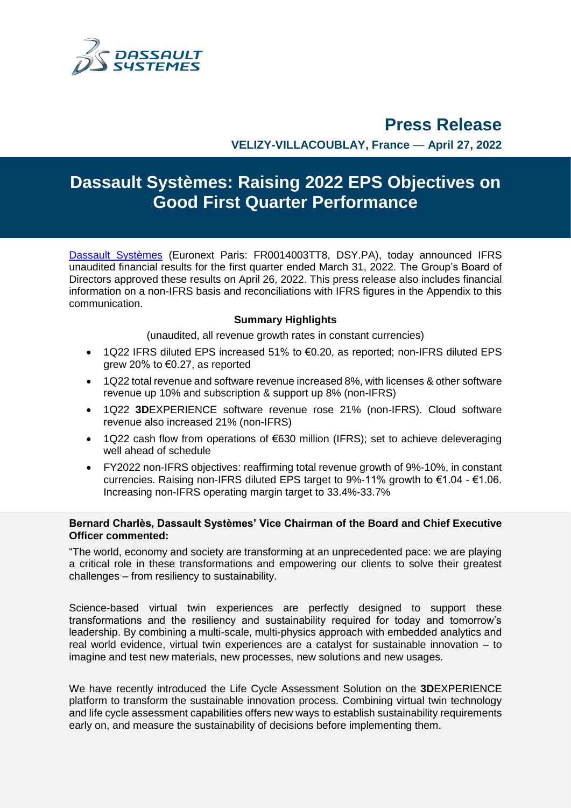

# **Press Release**

**VELIZY-VILLACOUBLAY, France** — **April 27, 2022**

# **Dassault Systèmes: Raising 2022 EPS Objectives on Good First Quarter Performance**

[Dassault Systèmes](http://www.3ds.com/) (Euronext Paris: FR0014003TT8, DSY.PA), today announced IFRS unaudited financial results for the first quarter ended March 31, 2022. The Group's Board of Directors approved these results on April 26, 2022. This press release also includes financial information on a non-IFRS basis and reconciliations with IFRS figures in the Appendix to this communication.

### **Summary Highlights**

(unaudited, all revenue growth rates in constant currencies)

- 1Q22 IFRS diluted EPS increased 51% to €0.20, as reported; non-IFRS diluted EPS grew 20% to €0.27, as reported
- 1Q22 total revenue and software revenue increased 8%, with licenses & other software revenue up 10% and subscription & support up 8% (non-IFRS)
- 1Q22 **3D**EXPERIENCE software revenue rose 21% (non-IFRS). Cloud software revenue also increased 21% (non-IFRS)
- 1Q22 cash flow from operations of €630 million (IFRS); set to achieve deleveraging well ahead of schedule
- FY2022 non-IFRS objectives: reaffirming total revenue growth of 9%-10%, in constant currencies. Raising non-IFRS diluted EPS target to 9%-11% growth to  $€1.04 - €1.06$ . Increasing non-IFRS operating margin target to 33.4%-33.7%

### **Bernard Charlès, Dassault Systèmes' Vice Chairman of the Board and Chief Executive Officer commented:**

"The world, economy and society are transforming at an unprecedented pace: we are playing a critical role in these transformations and empowering our clients to solve their greatest challenges – from resiliency to sustainability.

Science-based virtual twin experiences are perfectly designed to support these transformations and the resiliency and sustainability required for today and tomorrow's leadership. By combining a multi-scale, multi-physics approach with embedded analytics and real world evidence, virtual twin experiences are a catalyst for sustainable innovation – to imagine and test new materials, new processes, new solutions and new usages.

We have recently introduced the Life Cycle Assessment Solution on the **3D**EXPERIENCE platform to transform the sustainable innovation process. Combining virtual twin technology and life cycle assessment capabilities offers new ways to establish sustainability requirements early on, and measure the sustainability of decisions before implementing them.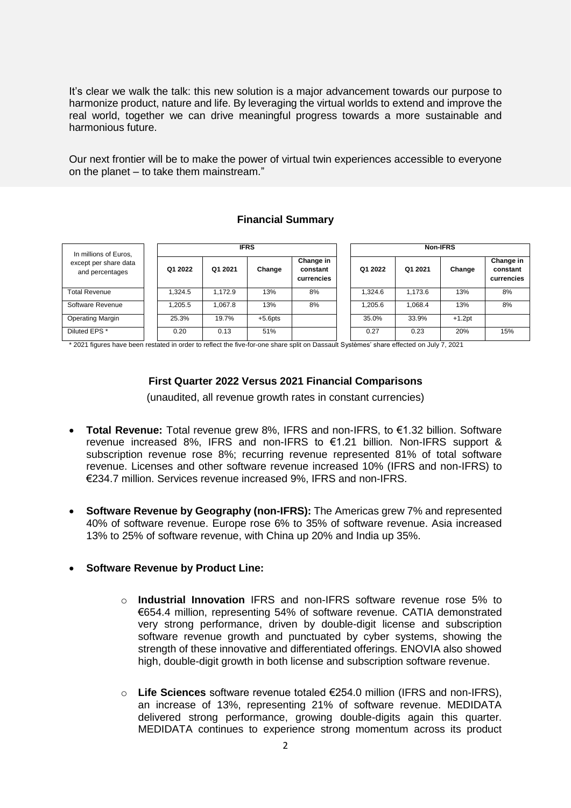It's clear we walk the talk: this new solution is a major advancement towards our purpose to harmonize product, nature and life. By leveraging the virtual worlds to extend and improve the real world, together we can drive meaningful progress towards a more sustainable and harmonious future.

Our next frontier will be to make the power of virtual twin experiences accessible to everyone on the planet – to take them mainstream."

### **Financial Summary**

| In millions of Euros,                    | <b>IFRS</b> |         |            |                                     | Non-IFRS |         |          |                                     |  |
|------------------------------------------|-------------|---------|------------|-------------------------------------|----------|---------|----------|-------------------------------------|--|
| except per share data<br>and percentages | Q1 2022     | Q1 2021 | Change     | Change in<br>constant<br>currencies | Q1 2022  | Q1 2021 | Change   | Change in<br>constant<br>currencies |  |
| <b>Total Revenue</b>                     | 1.324.5     | .172.9  | 13%        | 8%                                  | 1.324.6  | 1.173.6 | 13%      | 8%                                  |  |
| Software Revenue                         | 1,205.5     | 1.067.8 | 13%        | 8%                                  | 1.205.6  | 1.068.4 | 13%      | 8%                                  |  |
| <b>Operating Margin</b>                  | 25.3%       | 19.7%   | $+5.6$ pts |                                     | 35.0%    | 33.9%   | $+1.2pt$ |                                     |  |
| Diluted EPS *                            | 0.20        | 0.13    | 51%        |                                     | 0.27     | 0.23    | 20%      | 15%                                 |  |

\* 2021 figures have been restated in order to reflect the five-for-one share split on Dassault Systèmes' share effected on July 7, 2021

### **First Quarter 2022 Versus 2021 Financial Comparisons**

(unaudited, all revenue growth rates in constant currencies)

- **Total Revenue:** Total revenue grew 8%, IFRS and non-IFRS, to €1.32 billion. Software revenue increased 8%, IFRS and non-IFRS to €1.21 billion. Non-IFRS support & subscription revenue rose 8%; recurring revenue represented 81% of total software revenue. Licenses and other software revenue increased 10% (IFRS and non-IFRS) to €234.7 million. Services revenue increased 9%, IFRS and non-IFRS.
- **Software Revenue by Geography (non-IFRS):** The Americas grew 7% and represented 40% of software revenue. Europe rose 6% to 35% of software revenue. Asia increased 13% to 25% of software revenue, with China up 20% and India up 35%.

### **Software Revenue by Product Line:**

- o **Industrial Innovation** IFRS and non-IFRS software revenue rose 5% to €654.4 million, representing 54% of software revenue. CATIA demonstrated very strong performance, driven by double-digit license and subscription software revenue growth and punctuated by cyber systems, showing the strength of these innovative and differentiated offerings. ENOVIA also showed high, double-digit growth in both license and subscription software revenue.
- o **Life Sciences** software revenue totaled €254.0 million (IFRS and non-IFRS), an increase of 13%, representing 21% of software revenue. MEDIDATA delivered strong performance, growing double-digits again this quarter. MEDIDATA continues to experience strong momentum across its product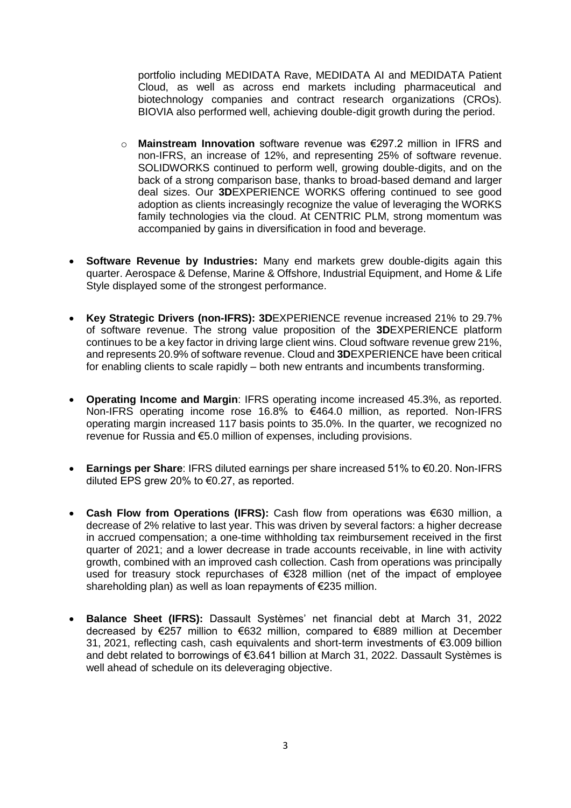portfolio including MEDIDATA Rave, MEDIDATA AI and MEDIDATA Patient Cloud, as well as across end markets including pharmaceutical and biotechnology companies and contract research organizations (CROs). BIOVIA also performed well, achieving double-digit growth during the period.

- o **Mainstream Innovation** software revenue was €297.2 million in IFRS and non-IFRS, an increase of 12%, and representing 25% of software revenue. SOLIDWORKS continued to perform well, growing double-digits, and on the back of a strong comparison base, thanks to broad-based demand and larger deal sizes. Our **3D**EXPERIENCE WORKS offering continued to see good adoption as clients increasingly recognize the value of leveraging the WORKS family technologies via the cloud. At CENTRIC PLM, strong momentum was accompanied by gains in diversification in food and beverage.
- **Software Revenue by Industries:** Many end markets grew double-digits again this quarter. Aerospace & Defense, Marine & Offshore, Industrial Equipment, and Home & Life Style displayed some of the strongest performance.
- **Key Strategic Drivers (non-IFRS): 3D**EXPERIENCE revenue increased 21% to 29.7% of software revenue. The strong value proposition of the **3D**EXPERIENCE platform continues to be a key factor in driving large client wins. Cloud software revenue grew 21%, and represents 20.9% of software revenue. Cloud and **3D**EXPERIENCE have been critical for enabling clients to scale rapidly – both new entrants and incumbents transforming.
- **Operating Income and Margin**: IFRS operating income increased 45.3%, as reported. Non-IFRS operating income rose 16.8% to €464.0 million, as reported. Non-IFRS operating margin increased 117 basis points to 35.0%. In the quarter, we recognized no revenue for Russia and €5.0 million of expenses, including provisions.
- **Earnings per Share**: IFRS diluted earnings per share increased 51% to €0.20. Non-IFRS diluted EPS grew 20% to €0.27, as reported.
- **Cash Flow from Operations (IFRS):** Cash flow from operations was €630 million, a decrease of 2% relative to last year. This was driven by several factors: a higher decrease in accrued compensation; a one-time withholding tax reimbursement received in the first quarter of 2021; and a lower decrease in trade accounts receivable, in line with activity growth, combined with an improved cash collection. Cash from operations was principally used for treasury stock repurchases of €328 million (net of the impact of employee shareholding plan) as well as loan repayments of €235 million.
- **Balance Sheet (IFRS):** Dassault Systèmes' net financial debt at March 31, 2022 decreased by €257 million to €632 million, compared to €889 million at December 31, 2021, reflecting cash, cash equivalents and short-term investments of €3.009 billion and debt related to borrowings of €3.641 billion at March 31, 2022. Dassault Systèmes is well ahead of schedule on its deleveraging objective.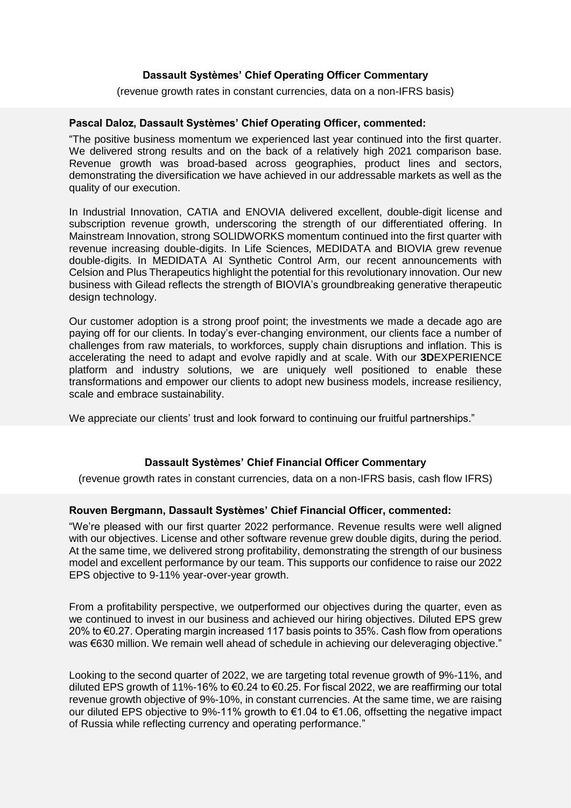### **Dassault Systèmes' Chief Operating Officer Commentary**

### (revenue growth rates in constant currencies, data on a non-IFRS basis)

### **Pascal Daloz, Dassault Systèmes' Chief Operating Officer, commented:**

"The positive business momentum we experienced last year continued into the first quarter. We delivered strong results and on the back of a relatively high 2021 comparison base. Revenue growth was broad-based across geographies, product lines and sectors, demonstrating the diversification we have achieved in our addressable markets as well as the quality of our execution.

In Industrial Innovation, CATIA and ENOVIA delivered excellent, double-digit license and subscription revenue growth, underscoring the strength of our differentiated offering. In Mainstream Innovation, strong SOLIDWORKS momentum continued into the first quarter with revenue increasing double-digits. In Life Sciences, MEDIDATA and BIOVIA grew revenue double-digits. In MEDIDATA AI Synthetic Control Arm, our recent announcements with Celsion and Plus Therapeutics highlight the potential for this revolutionary innovation. Our new business with Gilead reflects the strength of BIOVIA's groundbreaking generative therapeutic design technology.

Our customer adoption is a strong proof point; the investments we made a decade ago are paying off for our clients. In today's ever-changing environment, our clients face a number of challenges from raw materials, to workforces, supply chain disruptions and inflation. This is accelerating the need to adapt and evolve rapidly and at scale. With our **3D**EXPERIENCE platform and industry solutions, we are uniquely well positioned to enable these transformations and empower our clients to adopt new business models, increase resiliency, scale and embrace sustainability.

We appreciate our clients' trust and look forward to continuing our fruitful partnerships."

### **Dassault Systèmes' Chief Financial Officer Commentary**

(revenue growth rates in constant currencies, data on a non-IFRS basis, cash flow IFRS)

### **Rouven Bergmann, Dassault Systèmes' Chief Financial Officer, commented:**

"We're pleased with our first quarter 2022 performance. Revenue results were well aligned with our objectives. License and other software revenue grew double digits, during the period. At the same time, we delivered strong profitability, demonstrating the strength of our business model and excellent performance by our team. This supports our confidence to raise our 2022 EPS objective to 9-11% year-over-year growth.

From a profitability perspective, we outperformed our objectives during the quarter, even as we continued to invest in our business and achieved our hiring objectives. Diluted EPS grew 20% to €0.27. Operating margin increased 117 basis points to 35%. Cash flow from operations was €630 million. We remain well ahead of schedule in achieving our deleveraging objective."

Looking to the second quarter of 2022, we are targeting total revenue growth of 9%-11%, and diluted EPS growth of 11%-16% to €0.24 to €0.25. For fiscal 2022, we are reaffirming our total revenue growth objective of 9%-10%, in constant currencies. At the same time, we are raising our diluted EPS objective to 9%-11% growth to €1.04 to €1.06, offsetting the negative impact of Russia while reflecting currency and operating performance."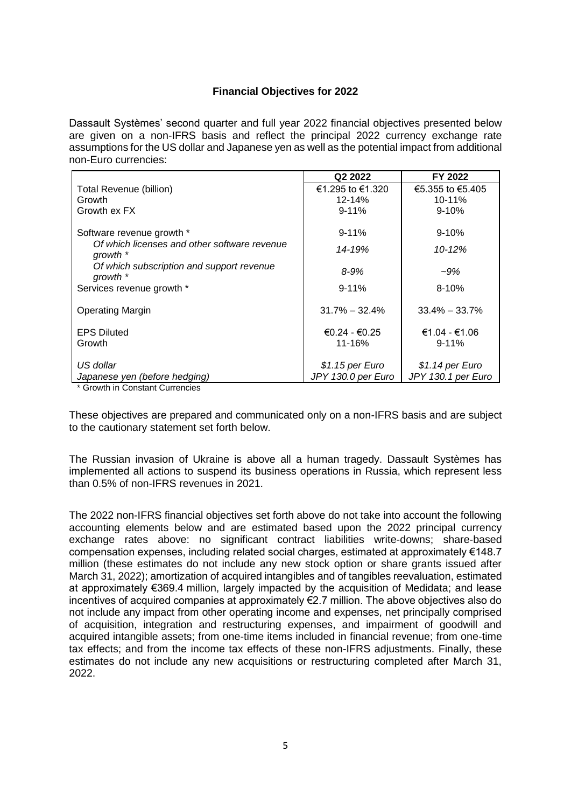### **Financial Objectives for 2022**

Dassault Systèmes' second quarter and full year 2022 financial objectives presented below are given on a non-IFRS basis and reflect the principal 2022 currency exchange rate assumptions for the US dollar and Japanese yen as well as the potential impact from additional non-Euro currencies:

|                                                          | Q <sub>2</sub> 2022                    | FY 2022                                |
|----------------------------------------------------------|----------------------------------------|----------------------------------------|
| Total Revenue (billion)                                  | €1.295 to €1.320                       | €5.355 to €5.405                       |
| Growth                                                   | $12 - 14%$                             | $10 - 11%$                             |
| Growth ex FX                                             | $9 - 11%$                              | $9 - 10%$                              |
| Software revenue growth *                                | $9 - 11%$                              | $9 - 10%$                              |
| Of which licenses and other software revenue<br>qrowth * | 14-19%                                 | $10 - 12%$                             |
| Of which subscription and support revenue<br>growth *    | $8 - 9%$                               | $-9\%$                                 |
| Services revenue growth *                                | $9 - 11%$                              | $8 - 10%$                              |
| <b>Operating Margin</b>                                  | $31.7\% - 32.4\%$                      | $33.4\% - 33.7\%$                      |
| <b>EPS Diluted</b><br>Growth                             | $€0.24 - €0.25$<br>11-16%              | €1.04 - €1.06<br>$9 - 11%$             |
| US dollar<br>Japanese yen (before hedging)               | $$1.15$ per Euro<br>JPY 130.0 per Euro | $$1.14$ per Euro<br>JPY 130.1 per Euro |

\* Growth in Constant Currencies

These objectives are prepared and communicated only on a non-IFRS basis and are subject to the cautionary statement set forth below.

The Russian invasion of Ukraine is above all a human tragedy. Dassault Systèmes has implemented all actions to suspend its business operations in Russia, which represent less than 0.5% of non-IFRS revenues in 2021.

The 2022 non-IFRS financial objectives set forth above do not take into account the following accounting elements below and are estimated based upon the 2022 principal currency exchange rates above: no significant contract liabilities write-downs; share-based compensation expenses, including related social charges, estimated at approximately €148.7 million (these estimates do not include any new stock option or share grants issued after March 31, 2022); amortization of acquired intangibles and of tangibles reevaluation, estimated at approximately €369.4 million, largely impacted by the acquisition of Medidata; and lease incentives of acquired companies at approximately €2.7 million. The above objectives also do not include any impact from other operating income and expenses, net principally comprised of acquisition, integration and restructuring expenses, and impairment of goodwill and acquired intangible assets; from one-time items included in financial revenue; from one-time tax effects; and from the income tax effects of these non-IFRS adjustments. Finally, these estimates do not include any new acquisitions or restructuring completed after March 31, 2022.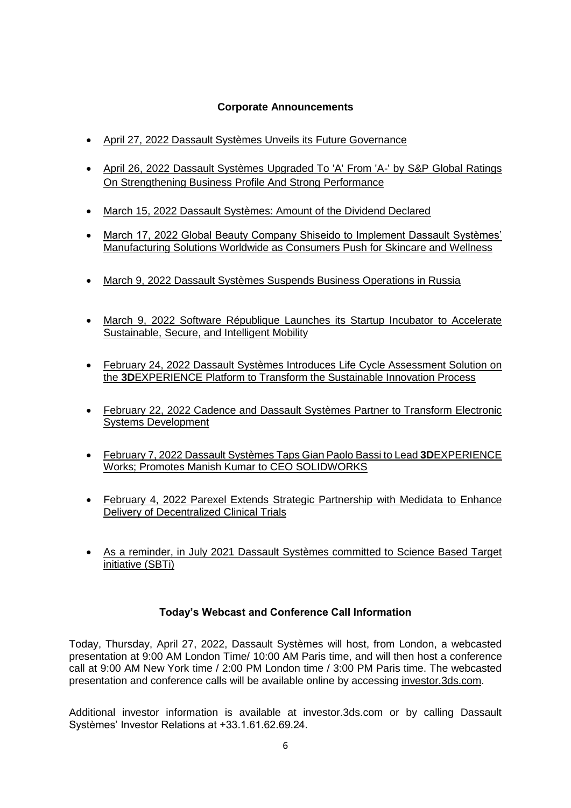### **Corporate Announcements**

- [April 27, 2022 Dassault Systèmes Unveils its Future Governance](https://investor.3ds.com/governance/governance-overview)
- [April 26, 2022 Dassault Systèmes Upgraded To 'A' From 'A-' by S&P Global Ratings](https://www.capitaliq.com/CIQDotNet/CreditResearch/SPResearch.aspx?ArtObjectId=12352525&ArtRevId=1)  [On Strengthening Business Profile And Strong Performance](https://www.capitaliq.com/CIQDotNet/CreditResearch/SPResearch.aspx?ArtObjectId=12352525&ArtRevId=1)
- [March 15, 2022 Dassault Systèmes: Amount of the Dividend Declared](https://investor.3ds.com/news-releases/news-release-details/dassault-systemes-amount-dividend-0)
- March 17, 2022 Global Beauty Company Shiseido to Implement Dassault Systèmes' [Manufacturing Solutions Worldwide as Consumers Push for Skincare and Wellness](https://www.3ds.com/newsroom/press-releases/global-beauty-company-shiseido-implement-dassault-systemes-manufacturing-solutions-worldwide-consumers-push-skincare-and-wellness)
- [March 9, 2022 Dassault Systèmes Suspends Business Operations in Russia](https://investor.3ds.com/news-releases/news-release-details/dassault-systemes-suspends-business-operations-russia/)
- [March 9, 2022 Software République Launches its Startup Incubator to Accelerate](https://www.3ds.com/newsroom/press-releases/software-republique-launches-its-startup-incubator-accelerate-sustainable-secure-and-intelligent-mobility)  [Sustainable, Secure, and Intelligent Mobility](https://www.3ds.com/newsroom/press-releases/software-republique-launches-its-startup-incubator-accelerate-sustainable-secure-and-intelligent-mobility)
- February 24, 2022 [Dassault Systèmes Introduces Life Cycle Assessment Solution on](https://www.3ds.com/newsroom/press-releases/dassault-systemes-introduces-life-cycle-assessment-solution-3dexperience-platform-transform-sustainable-innovation-process)  the **3D**[EXPERIENCE Platform to Transform the Sustainable Innovation Process](https://www.3ds.com/newsroom/press-releases/dassault-systemes-introduces-life-cycle-assessment-solution-3dexperience-platform-transform-sustainable-innovation-process)
- [February 22, 2022 Cadence and Dassault Systèmes Partner to Transform Electronic](https://www.3ds.com/newsroom/press-releases/cadence-and-dassault-systemes-partner-transform-electronic-systems-development)  [Systems Development](https://www.3ds.com/newsroom/press-releases/cadence-and-dassault-systemes-partner-transform-electronic-systems-development)
- [February 7, 2022 Dassault Systèmes Taps Gian Paolo Bassi to Lead](https://www.3ds.com/newsroom/press-releases/dassault-systemes-taps-gian-paolo-bassi-lead-3dexperience-works-promotes-manish-kumar-ceo-solidworks) **3D**EXPERIENCE [Works; Promotes Manish Kumar to CEO SOLIDWORKS](https://www.3ds.com/newsroom/press-releases/dassault-systemes-taps-gian-paolo-bassi-lead-3dexperience-works-promotes-manish-kumar-ceo-solidworks)
- [February 4, 2022 Parexel Extends Strategic Partnership](https://www.medidata.com/en/about-us/news-and-press/parexel-extends-strategic-partnership-with-medidata-to-enhance-delivery-of-decentralized-clinical-trials) with Medidata to Enhance [Delivery of Decentralized Clinical Trials](https://www.medidata.com/en/about-us/news-and-press/parexel-extends-strategic-partnership-with-medidata-to-enhance-delivery-of-decentralized-clinical-trials)
- [As a reminder, in July 2021 Dassault Systèmes committed to Science Based Target](https://www.3ds.com/newsroom/press-releases/dassault-systemes-commits-sustainability-science-based-targets-approved-and-net-zero-emissions-timeline-set)  [initiative \(SBTi\)](https://www.3ds.com/newsroom/press-releases/dassault-systemes-commits-sustainability-science-based-targets-approved-and-net-zero-emissions-timeline-set)

### **Today's Webcast and Conference Call Information**

Today, Thursday, April 27, 2022, Dassault Systèmes will host, from London, a webcasted presentation at 9:00 AM London Time/ 10:00 AM Paris time, and will then host a conference call at 9:00 AM New York time / 2:00 PM London time / 3:00 PM Paris time. The webcasted presentation and conference calls will be available online by accessing [investor.3ds.com.](file:///E:/users/mgx/All-Data/mck%20documents/2020%20Q2%20Folder/www.3ds.com/investors/)

Additional investor information is available at investor.3ds.com or by calling Dassault Systèmes' Investor Relations at +33.1.61.62.69.24.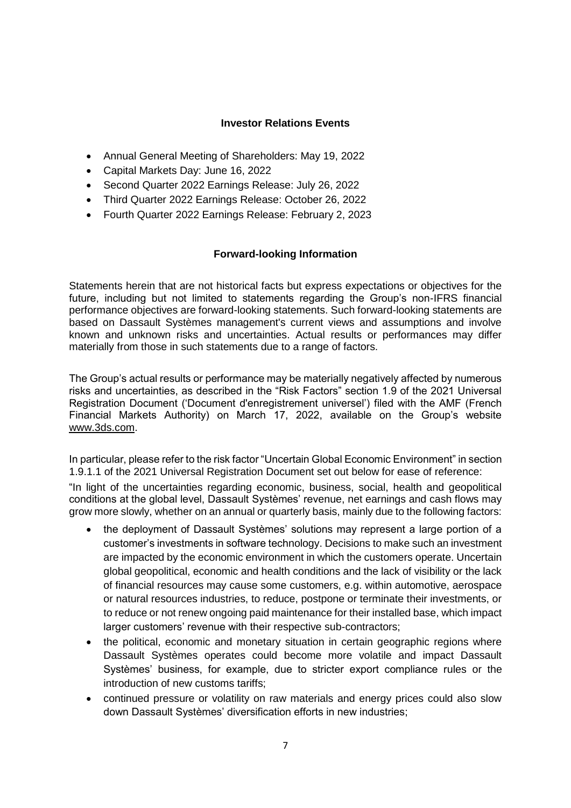### **Investor Relations Events**

- Annual General Meeting of Shareholders: May 19, 2022
- Capital Markets Day: June 16, 2022
- Second Quarter 2022 Earnings Release: July 26, 2022
- Third Quarter 2022 Earnings Release: October 26, 2022
- Fourth Quarter 2022 Earnings Release: February 2, 2023

### **Forward-looking Information**

Statements herein that are not historical facts but express expectations or objectives for the future, including but not limited to statements regarding the Group's non-IFRS financial performance objectives are forward-looking statements. Such forward-looking statements are based on Dassault Systèmes management's current views and assumptions and involve known and unknown risks and uncertainties. Actual results or performances may differ materially from those in such statements due to a range of factors.

The Group's actual results or performance may be materially negatively affected by numerous risks and uncertainties, as described in the "Risk Factors" section 1.9 of the 2021 Universal Registration Document ('Document d'enregistrement universel') filed with the AMF (French Financial Markets Authority) on March 17, 2022, available on the Group's website [www.3ds.com.](http://www.3ds.com/)

In particular, please refer to the risk factor "Uncertain Global Economic Environment" in section 1.9.1.1 of the 2021 Universal Registration Document set out below for ease of reference:

"In light of the uncertainties regarding economic, business, social, health and geopolitical conditions at the global level, Dassault Systèmes' revenue, net earnings and cash flows may grow more slowly, whether on an annual or quarterly basis, mainly due to the following factors:

- the deployment of Dassault Systèmes' solutions may represent a large portion of a customer's investments in software technology. Decisions to make such an investment are impacted by the economic environment in which the customers operate. Uncertain global geopolitical, economic and health conditions and the lack of visibility or the lack of financial resources may cause some customers, e.g. within automotive, aerospace or natural resources industries, to reduce, postpone or terminate their investments, or to reduce or not renew ongoing paid maintenance for their installed base, which impact larger customers' revenue with their respective sub-contractors;
- the political, economic and monetary situation in certain geographic regions where Dassault Systèmes operates could become more volatile and impact Dassault Systèmes' business, for example, due to stricter export compliance rules or the introduction of new customs tariffs;
- continued pressure or volatility on raw materials and energy prices could also slow down Dassault Systèmes' diversification efforts in new industries;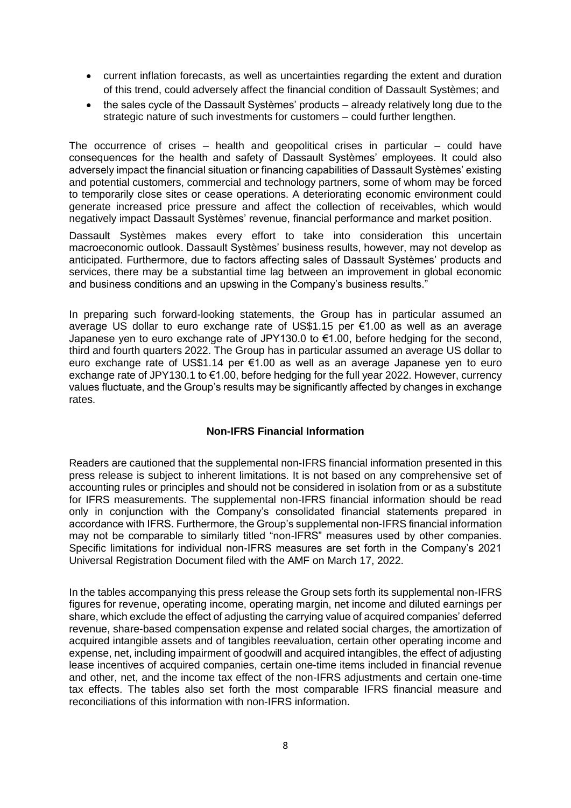- current inflation forecasts, as well as uncertainties regarding the extent and duration of this trend, could adversely affect the financial condition of Dassault Systèmes; and
- the sales cycle of the Dassault Systèmes' products already relatively long due to the strategic nature of such investments for customers – could further lengthen.

The occurrence of crises  $-$  health and geopolitical crises in particular  $-$  could have consequences for the health and safety of Dassault Systèmes' employees. It could also adversely impact the financial situation or financing capabilities of Dassault Systèmes' existing and potential customers, commercial and technology partners, some of whom may be forced to temporarily close sites or cease operations. A deteriorating economic environment could generate increased price pressure and affect the collection of receivables, which would negatively impact Dassault Systèmes' revenue, financial performance and market position.

Dassault Systèmes makes every effort to take into consideration this uncertain macroeconomic outlook. Dassault Systèmes' business results, however, may not develop as anticipated. Furthermore, due to factors affecting sales of Dassault Systèmes' products and services, there may be a substantial time lag between an improvement in global economic and business conditions and an upswing in the Company's business results."

In preparing such forward-looking statements, the Group has in particular assumed an average US dollar to euro exchange rate of US\$1.15 per €1.00 as well as an average Japanese yen to euro exchange rate of JPY130.0 to €1.00, before hedging for the second, third and fourth quarters 2022. The Group has in particular assumed an average US dollar to euro exchange rate of US\$1.14 per €1.00 as well as an average Japanese yen to euro exchange rate of JPY130.1 to €1.00, before hedging for the full year 2022. However, currency values fluctuate, and the Group's results may be significantly affected by changes in exchange rates.

### **Non-IFRS Financial Information**

Readers are cautioned that the supplemental non-IFRS financial information presented in this press release is subject to inherent limitations. It is not based on any comprehensive set of accounting rules or principles and should not be considered in isolation from or as a substitute for IFRS measurements. The supplemental non-IFRS financial information should be read only in conjunction with the Company's consolidated financial statements prepared in accordance with IFRS. Furthermore, the Group's supplemental non-IFRS financial information may not be comparable to similarly titled "non-IFRS" measures used by other companies. Specific limitations for individual non-IFRS measures are set forth in the Company's 2021 Universal Registration Document filed with the AMF on March 17, 2022.

In the tables accompanying this press release the Group sets forth its supplemental non-IFRS figures for revenue, operating income, operating margin, net income and diluted earnings per share, which exclude the effect of adjusting the carrying value of acquired companies' deferred revenue, share-based compensation expense and related social charges, the amortization of acquired intangible assets and of tangibles reevaluation, certain other operating income and expense, net, including impairment of goodwill and acquired intangibles, the effect of adjusting lease incentives of acquired companies, certain one-time items included in financial revenue and other, net, and the income tax effect of the non-IFRS adjustments and certain one-time tax effects. The tables also set forth the most comparable IFRS financial measure and reconciliations of this information with non-IFRS information.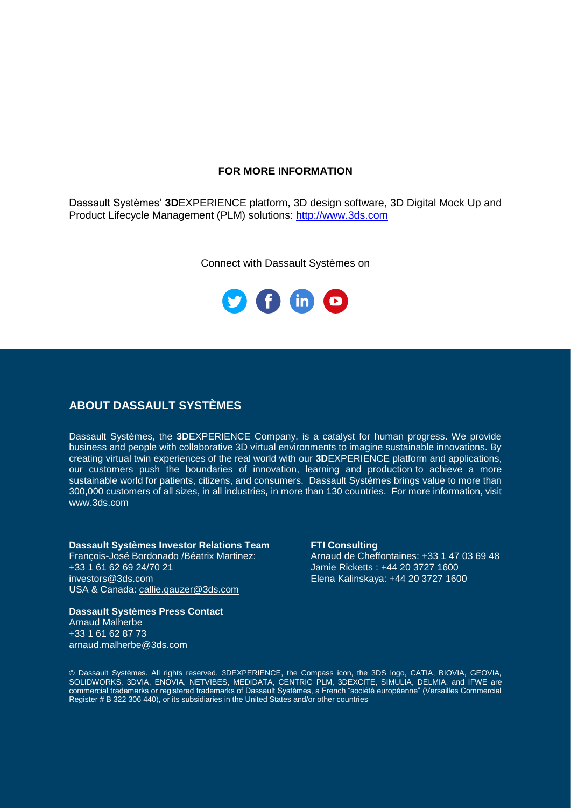### **FOR MORE INFORMATION**

Dassault Systèmes' **3D**EXPERIENCE platform, 3D design software, 3D Digital Mock Up and Product Lifecycle Management (PLM) solutions: [http://www.3ds.com](http://www.3ds.com/)

Connect with Dassault Systèmes on



### **ABOUT DASSAULT SYSTÈMES**

Dassault Systèmes, the **3D**EXPERIENCE Company, is a catalyst for human progress. We provide business and people with collaborative 3D virtual environments to imagine sustainable innovations. By creating virtual twin experiences of the real world with our **3D**EXPERIENCE platform and applications, our customers push the boundaries of innovation, learning and production to achieve a more sustainable world for patients, citizens, and consumers. Dassault Systèmes brings value to more than 300,000 customers of all sizes, in all industries, in more than 130 countries. For more information, visit [www.3ds.com](http://www.3ds.com/)

# **Dassault Systèmes Investor Relations Team FTI Consulting** François-José Bordonado /Béatrix Martinez: <br>
+33 1 61 62 69 24/70 21 damie Ricketts: +44 20 3727 1600

[investors@3ds.com](mailto:investors@3ds.com) Elena Kalinskaya: +44 20 3727 1600 USA & Canada: [callie.gauzer@3ds.com](mailto:callie.gauzer@3ds.com)

Jamie Ricketts : +44 20 3727 1600

### **Dassault Systèmes Press Contact** Arnaud Malherbe +33 1 61 62 87 73 arnaud.malherbe@3ds.com

© Dassault Systèmes. All rights reserved. 3DEXPERIENCE, the Compass icon, the 3DS logo, CATIA, BIOVIA, GEOVIA, SOLIDWORKS, 3DVIA, ENOVIA, NETVIBES, MEDIDATA, CENTRIC PLM, 3DEXCITE, SIMULIA, DELMIA, and IFWE are commercial trademarks or registered trademarks of Dassault Systèmes, a French "société européenne" (Versailles Commercial Register # B 322 306 440), or its subsidiaries in the United States and/or other countries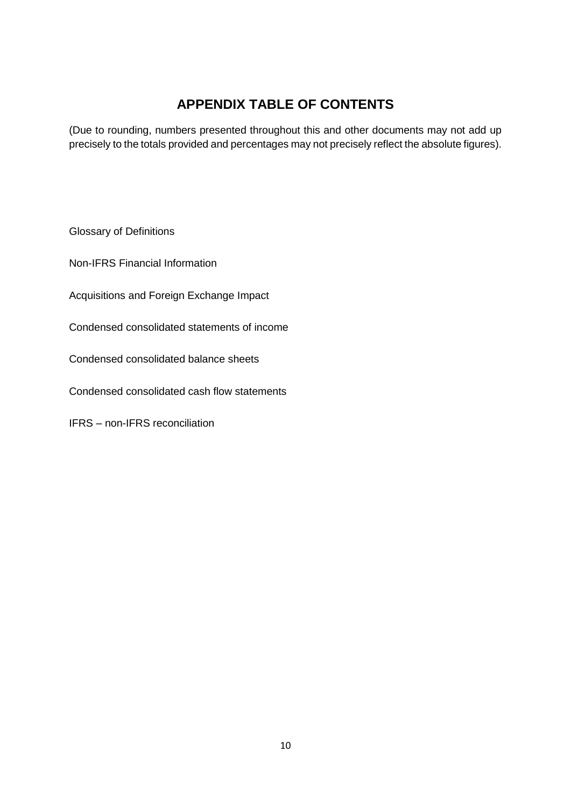# **APPENDIX TABLE OF CONTENTS**

(Due to rounding, numbers presented throughout this and other documents may not add up precisely to the totals provided and percentages may not precisely reflect the absolute figures).

Glossary of Definitions

Non-IFRS Financial Information

Acquisitions and Foreign Exchange Impact

Condensed consolidated statements of income

Condensed consolidated balance sheets

Condensed consolidated cash flow statements

IFRS – non-IFRS reconciliation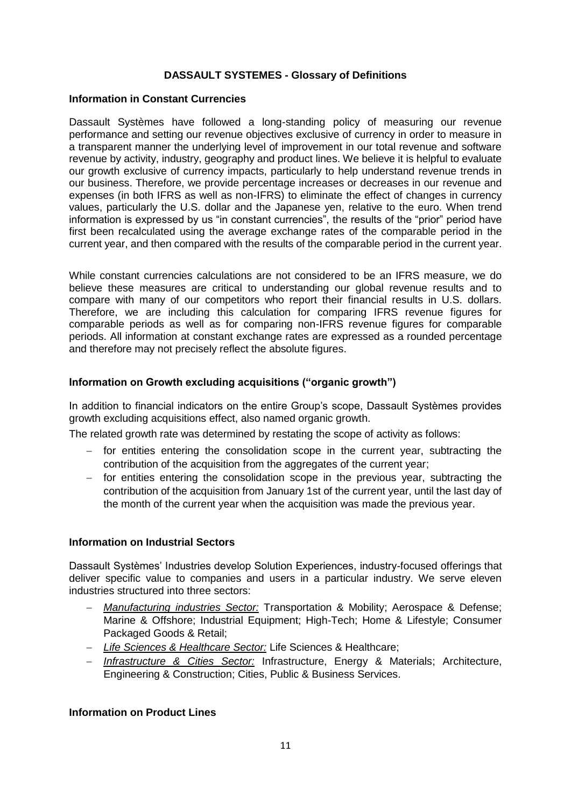### **DASSAULT SYSTEMES - Glossary of Definitions**

### **Information in Constant Currencies**

Dassault Systèmes have followed a long-standing policy of measuring our revenue performance and setting our revenue objectives exclusive of currency in order to measure in a transparent manner the underlying level of improvement in our total revenue and software revenue by activity, industry, geography and product lines. We believe it is helpful to evaluate our growth exclusive of currency impacts, particularly to help understand revenue trends in our business. Therefore, we provide percentage increases or decreases in our revenue and expenses (in both IFRS as well as non-IFRS) to eliminate the effect of changes in currency values, particularly the U.S. dollar and the Japanese yen, relative to the euro. When trend information is expressed by us "in constant currencies", the results of the "prior" period have first been recalculated using the average exchange rates of the comparable period in the current year, and then compared with the results of the comparable period in the current year.

While constant currencies calculations are not considered to be an IFRS measure, we do believe these measures are critical to understanding our global revenue results and to compare with many of our competitors who report their financial results in U.S. dollars. Therefore, we are including this calculation for comparing IFRS revenue figures for comparable periods as well as for comparing non-IFRS revenue figures for comparable periods. All information at constant exchange rates are expressed as a rounded percentage and therefore may not precisely reflect the absolute figures.

### **Information on Growth excluding acquisitions ("organic growth")**

In addition to financial indicators on the entire Group's scope, Dassault Systèmes provides growth excluding acquisitions effect, also named organic growth.

The related growth rate was determined by restating the scope of activity as follows:

- $-$  for entities entering the consolidation scope in the current year, subtracting the contribution of the acquisition from the aggregates of the current year;
- for entities entering the consolidation scope in the previous year, subtracting the contribution of the acquisition from January 1st of the current year, until the last day of the month of the current year when the acquisition was made the previous year.

### **Information on Industrial Sectors**

Dassault Systèmes' Industries develop Solution Experiences, industry-focused offerings that deliver specific value to companies and users in a particular industry. We serve eleven industries structured into three sectors:

- *Manufacturing industries Sector:* Transportation & Mobility; Aerospace & Defense; Marine & Offshore; Industrial Equipment; High-Tech; Home & Lifestyle; Consumer Packaged Goods & Retail;
- *Life Sciences & Healthcare Sector:* Life Sciences & Healthcare;
- *Infrastructure & Cities Sector:* Infrastructure, Energy & Materials; Architecture, Engineering & Construction; Cities, Public & Business Services.

### **Information on Product Lines**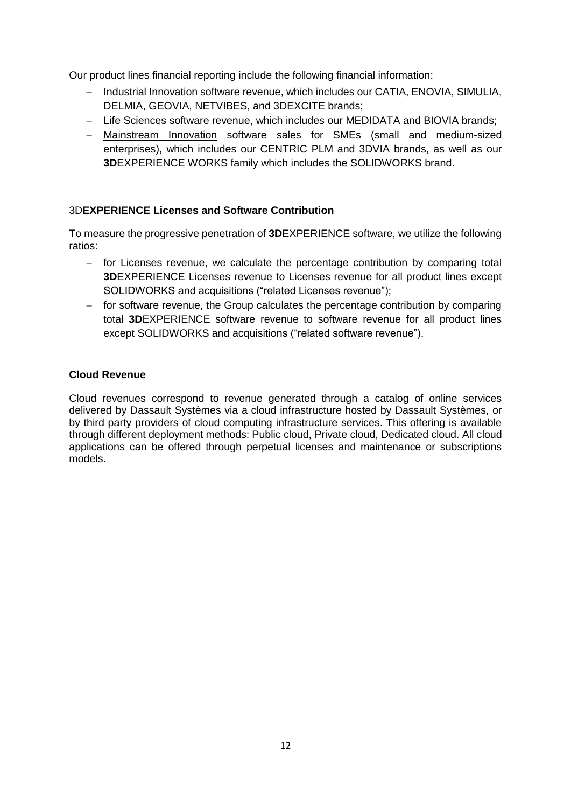Our product lines financial reporting include the following financial information:

- Industrial Innovation software revenue, which includes our CATIA, ENOVIA, SIMULIA, DELMIA, GEOVIA, NETVIBES, and 3DEXCITE brands;
- Life Sciences software revenue, which includes our MEDIDATA and BIOVIA brands;
- Mainstream Innovation software sales for SMEs (small and medium-sized enterprises), which includes our CENTRIC PLM and 3DVIA brands, as well as our **3D**EXPERIENCE WORKS family which includes the SOLIDWORKS brand.

### 3D**EXPERIENCE Licenses and Software Contribution**

To measure the progressive penetration of **3D**EXPERIENCE software, we utilize the following ratios:

- for Licenses revenue, we calculate the percentage contribution by comparing total **3D**EXPERIENCE Licenses revenue to Licenses revenue for all product lines except SOLIDWORKS and acquisitions ("related Licenses revenue");
- $-$  for software revenue, the Group calculates the percentage contribution by comparing total **3D**EXPERIENCE software revenue to software revenue for all product lines except SOLIDWORKS and acquisitions ("related software revenue").

### **Cloud Revenue**

Cloud revenues correspond to revenue generated through a catalog of online services delivered by Dassault Systèmes via a cloud infrastructure hosted by Dassault Systèmes, or by third party providers of cloud computing infrastructure services. This offering is available through different deployment methods: Public cloud, Private cloud, Dedicated cloud. All cloud applications can be offered through perpetual licenses and maintenance or subscriptions models.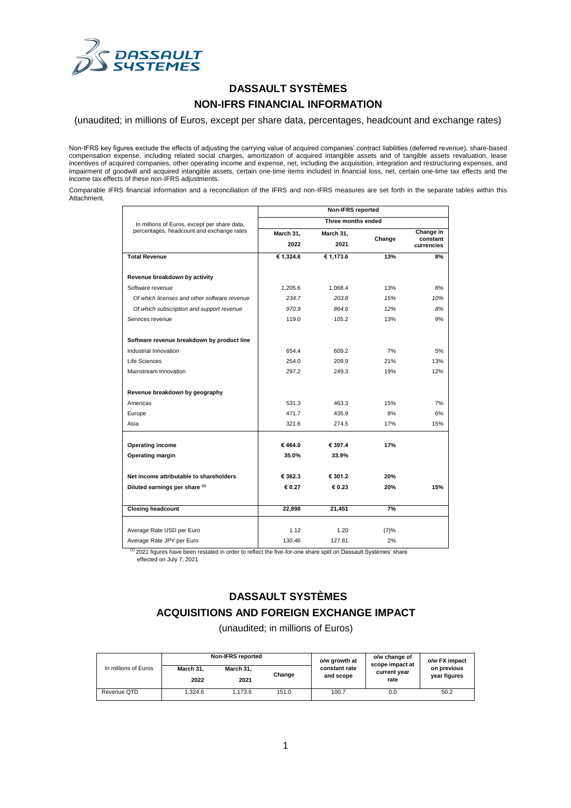

# **DASSAULT SYSTÈMES NON-IFRS FINANCIAL INFORMATION**

(unaudited; in millions of Euros, except per share data, percentages, headcount and exchange rates)

Non-IFRS key figures exclude the effects of adjusting the carrying value of acquired companies' contract liabilities (deferred revenue), share-based compensation expense, including related social charges, amortization of acquired intangible assets and of tangible assets revaluation, lease incentives of acquired companies, other operating income and expense, net, including the acquisition, integration and restructuring expenses, and impairment of goodwill and acquired intangible assets, certain one-time items included in financial loss, net, certain one-time tax effects and the income tax effects of these non-IFRS adjustments.

Comparable IFRS financial information and a reconciliation of the IFRS and non-IFRS measures are set forth in the separate tables within this Attachment.

|                                                                                           | <b>Non-IFRS reported</b> |                    |        |                        |  |  |  |  |
|-------------------------------------------------------------------------------------------|--------------------------|--------------------|--------|------------------------|--|--|--|--|
| In millions of Euros, except per share data,<br>percentages, headcount and exchange rates |                          | Three months ended |        |                        |  |  |  |  |
|                                                                                           | March 31,                | March 31,          |        | Change in              |  |  |  |  |
|                                                                                           | 2022                     | 2021               | Change | constant<br>currencies |  |  |  |  |
| <b>Total Revenue</b>                                                                      | € 1,324.6                | € 1,173.6          | 13%    | 8%                     |  |  |  |  |
| Revenue breakdown by activity                                                             |                          |                    |        |                        |  |  |  |  |
| Software revenue                                                                          | 1,205.6                  | 1.068.4            | 13%    | 8%                     |  |  |  |  |
| Of which licenses and other software revenue                                              | 234.7                    | 203.8              | 15%    | 10%                    |  |  |  |  |
| Of which subscription and support revenue                                                 | 970.9                    | 864.6              | 12%    | 8%                     |  |  |  |  |
| Services revenue                                                                          | 119.0                    | 105.2              | 13%    | 9%                     |  |  |  |  |
|                                                                                           |                          |                    |        |                        |  |  |  |  |
| Software revenue breakdown by product line                                                |                          |                    |        |                        |  |  |  |  |
| Industrial Innovation                                                                     | 654.4                    | 609.2              | 7%     | 5%                     |  |  |  |  |
| Life Sciences                                                                             | 254.0                    | 209.9              | 21%    | 13%                    |  |  |  |  |
| Mainstream Innovation                                                                     | 297.2                    | 249.3              | 19%    | 12%                    |  |  |  |  |
| Revenue breakdown by geography                                                            |                          |                    |        |                        |  |  |  |  |
| Americas                                                                                  | 531.3                    | 463.3              | 15%    | 7%                     |  |  |  |  |
| Europe                                                                                    | 471.7                    | 435.9              | 8%     | 6%                     |  |  |  |  |
| Asia                                                                                      | 321.6                    | 274.5              | 17%    | 15%                    |  |  |  |  |
| <b>Operating income</b>                                                                   | €464.0                   | € 397.4            | 17%    |                        |  |  |  |  |
| <b>Operating margin</b>                                                                   | 35.0%                    | 33.9%              |        |                        |  |  |  |  |
|                                                                                           |                          |                    |        |                        |  |  |  |  |
| Net income attributable to shareholders                                                   | € 362.3                  | € 301.2            | 20%    |                        |  |  |  |  |
| Diluted earnings per share (1)                                                            | € 0.27                   | € 0.23             | 20%    | 15%                    |  |  |  |  |
| <b>Closing headcount</b>                                                                  | 22,898                   | 21,451             | 7%     |                        |  |  |  |  |
|                                                                                           |                          |                    |        |                        |  |  |  |  |
| Average Rate USD per Euro                                                                 | 1.12                     | 1.20               | (7)%   |                        |  |  |  |  |
| Average Rate JPY per Euro                                                                 | 130.46                   | 127.81             | 2%     |                        |  |  |  |  |

(1) 2021 figures have been restated in order to reflect the five-for-one share split on Dassault Systèmes' share

effected on July 7, 2021

# **DASSAULT SYSTÈMES ACQUISITIONS AND FOREIGN EXCHANGE IMPACT**

(unaudited; in millions of Euros)

| In millions of Euros |           | <b>Non-IFRS reported</b> |        | o/w growth at | o/w change of<br>scope impact at | o/w FX impact<br>on previous |  |
|----------------------|-----------|--------------------------|--------|---------------|----------------------------------|------------------------------|--|
|                      | March 31. | March 31.                | Change | constant rate | current year                     |                              |  |
|                      | 2022      | 2021                     |        | and scope     | rate                             | year figures                 |  |
| Revenue QTD          | 1.324.6   | 1.173.6                  | 151.0  | 100.7         | 0.0                              | 50.2                         |  |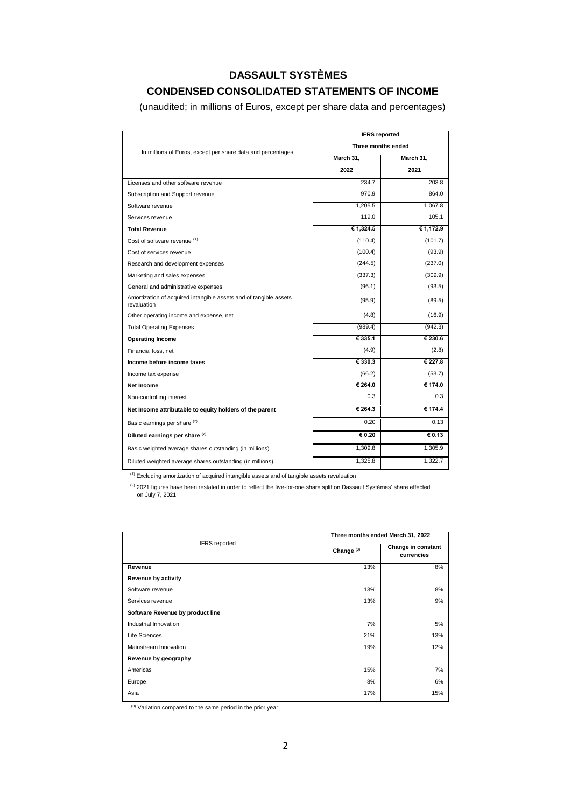# **DASSAULT SYSTÈMES**

## **CONDENSED CONSOLIDATED STATEMENTS OF INCOME**

(unaudited; in millions of Euros, except per share data and percentages)

|                                                                                  | <b>IFRS</b> reported |                            |
|----------------------------------------------------------------------------------|----------------------|----------------------------|
| In millions of Euros, except per share data and percentages                      | Three months ended   |                            |
|                                                                                  | March 31,            | March 31,                  |
|                                                                                  | 2022                 | 2021                       |
| Licenses and other software revenue                                              | 234.7                | 203.8                      |
| Subscription and Support revenue                                                 | 970.9                | 864.0                      |
| Software revenue                                                                 | 1.205.5              | 1.067.8                    |
| Services revenue                                                                 | 119.0                | 105.1                      |
| <b>Total Revenue</b>                                                             | € 1,324.5            | € 1,172.9                  |
| Cost of software revenue (1)                                                     | (110.4)              | (101.7)                    |
| Cost of services revenue                                                         | (100.4)              | (93.9)                     |
| Research and development expenses                                                | (244.5)              | (237.0)                    |
| Marketing and sales expenses                                                     | (337.3)              | (309.9)                    |
| General and administrative expenses                                              | (96.1)               | (93.5)                     |
| Amortization of acquired intangible assets and of tangible assets<br>revaluation | (95.9)               | (89.5)                     |
| Other operating income and expense, net                                          | (4.8)                | (16.9)                     |
| <b>Total Operating Expenses</b>                                                  | (989.4)              | (942.3)                    |
| <b>Operating Income</b>                                                          | € 335.1              | € 230.6                    |
| Financial loss, net                                                              | (4.9)                | (2.8)                      |
| Income before income taxes                                                       | € 330.3              | € 227.8                    |
| Income tax expense                                                               | (66.2)               | (53.7)                     |
| Net Income                                                                       | € 264.0              | € 174.0                    |
| Non-controlling interest                                                         | 0.3                  | 0.3                        |
| Net Income attributable to equity holders of the parent                          | € 264.3              | € 174.4                    |
| Basic earnings per share (2)                                                     | 0.20                 | 0.13                       |
| Diluted earnings per share (2)                                                   | 60.20                | $\overline{\epsilon}$ 0.13 |
| Basic weighted average shares outstanding (in millions)                          | 1,309.8              | 1,305.9                    |
| Diluted weighted average shares outstanding (in millions)                        | 1,325.8              | 1,322.7                    |

(1) Excluding amortization of acquired intangible assets and of tangible assets revaluation

 $(2)$  2021 figures have been restated in order to reflect the five-for-one share split on Dassault Systèmes' share effected on July 7, 2021

| Three months ended March 31, 2022 |                                  |  |  |  |
|-----------------------------------|----------------------------------|--|--|--|
| Change <sup>(3)</sup>             | Change in constant<br>currencies |  |  |  |
| 13%                               | 8%                               |  |  |  |
|                                   |                                  |  |  |  |
| 13%                               | 8%                               |  |  |  |
| 13%                               | 9%                               |  |  |  |
|                                   |                                  |  |  |  |
| 7%                                | 5%                               |  |  |  |
| 21%                               | 13%                              |  |  |  |
| 19%                               | 12%                              |  |  |  |
|                                   |                                  |  |  |  |
| 15%                               | 7%                               |  |  |  |
| 8%                                | 6%                               |  |  |  |
| 17%                               | 15%                              |  |  |  |
|                                   |                                  |  |  |  |

 $(3)$  Variation compared to the same period in the prior year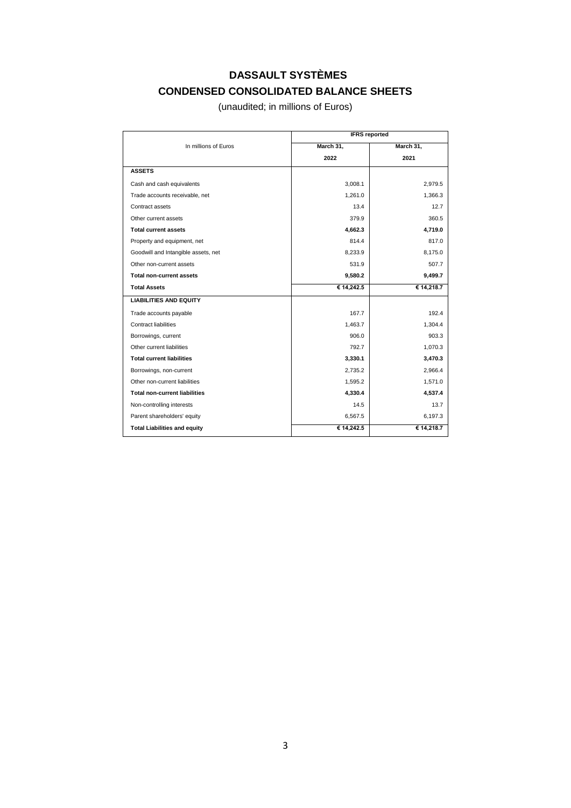# **DASSAULT SYSTÈMES CONDENSED CONSOLIDATED BALANCE SHEETS**

(unaudited; in millions of Euros)

|                                      | <b>IFRS</b> reported |            |  |  |  |
|--------------------------------------|----------------------|------------|--|--|--|
| In millions of Euros                 | March 31,            | March 31,  |  |  |  |
|                                      | 2022                 | 2021       |  |  |  |
| <b>ASSETS</b>                        |                      |            |  |  |  |
| Cash and cash equivalents            | 3,008.1              | 2,979.5    |  |  |  |
| Trade accounts receivable, net       | 1,261.0              | 1,366.3    |  |  |  |
| Contract assets                      | 13.4                 | 12.7       |  |  |  |
| Other current assets                 | 379.9                | 360.5      |  |  |  |
| <b>Total current assets</b>          | 4,662.3              | 4,719.0    |  |  |  |
| Property and equipment, net          | 814.4                | 817.0      |  |  |  |
| Goodwill and Intangible assets, net  | 8,233.9              | 8,175.0    |  |  |  |
| Other non-current assets             | 531.9                | 507.7      |  |  |  |
| <b>Total non-current assets</b>      | 9,580.2              | 9,499.7    |  |  |  |
| <b>Total Assets</b>                  | € 14,242.5           | € 14,218.7 |  |  |  |
| <b>LIABILITIES AND EQUITY</b>        |                      |            |  |  |  |
| Trade accounts payable               | 167.7                | 192.4      |  |  |  |
| Contract liabilities                 | 1,463.7              | 1,304.4    |  |  |  |
| Borrowings, current                  | 906.0                | 903.3      |  |  |  |
| Other current liabilities            | 792.7                | 1,070.3    |  |  |  |
| <b>Total current liabilities</b>     | 3,330.1              | 3,470.3    |  |  |  |
| Borrowings, non-current              | 2,735.2              | 2,966.4    |  |  |  |
| Other non-current liabilities        | 1,595.2              | 1,571.0    |  |  |  |
| <b>Total non-current liabilities</b> | 4,330.4              | 4,537.4    |  |  |  |
| Non-controlling interests            | 14.5                 | 13.7       |  |  |  |
| Parent shareholders' equity          | 6,567.5              | 6,197.3    |  |  |  |
| <b>Total Liabilities and equity</b>  | € 14,242.5           | € 14,218.7 |  |  |  |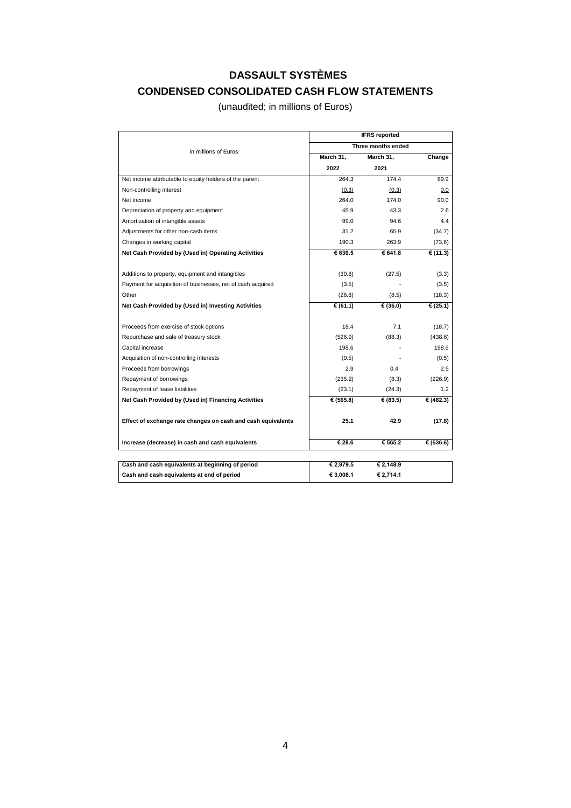# **DASSAULT SYSTÈMES CONDENSED CONSOLIDATED CASH FLOW STATEMENTS**

(unaudited; in millions of Euros)

|                                                              | <b>IFRS</b> reported |                    |             |  |  |  |
|--------------------------------------------------------------|----------------------|--------------------|-------------|--|--|--|
| In millions of Euros                                         |                      | Three months ended |             |  |  |  |
|                                                              | March 31,            | March 31,          | Change      |  |  |  |
|                                                              | 2022                 | 2021               |             |  |  |  |
| Net income attributable to equity holders of the parent      | 264.3                | 174.4              | 89.9        |  |  |  |
| Non-controlling interest                                     | (0.3)                | (0.3)              | 0.0         |  |  |  |
| Net income                                                   | 264.0                | 174.0              | 90.0        |  |  |  |
| Depreciation of property and equipment                       | 45.9                 | 43.3               | 2.6         |  |  |  |
| Amortization of intangible assets                            | 99.0                 | 94.6               | 4.4         |  |  |  |
| Adjustments for other non-cash items                         | 31.2                 | 65.9               | (34.7)      |  |  |  |
| Changes in working capital                                   | 190.3                | 263.9              | (73.6)      |  |  |  |
| Net Cash Provided by (Used in) Operating Activities          | € 630.5              | € 641.8            | € $(11.3)$  |  |  |  |
|                                                              |                      |                    |             |  |  |  |
| Additions to property, equipment and intangibles             | (30.8)               | (27.5)             | (3.3)       |  |  |  |
| Payment for acquisition of businesses, net of cash acquired  | (3.5)                |                    | (3.5)       |  |  |  |
| Other                                                        | (26.8)               | (8.5)              | (18.3)      |  |  |  |
| Net Cash Provided by (Used in) Investing Activities          | € (61.1)             | € (36.0)           | € (25.1)    |  |  |  |
|                                                              |                      |                    |             |  |  |  |
| Proceeds from exercise of stock options                      | 18.4                 | 7.1                | (18.7)      |  |  |  |
| Repurchase and sale of treasury stock                        | (526.9)              | (88.3)             | (438.6)     |  |  |  |
| Capital increase                                             | 198.6                |                    | 198.6       |  |  |  |
| Acquisition of non-controlling interests                     | (0.5)                |                    | (0.5)       |  |  |  |
| Proceeds from borrowings                                     | 2.9                  | 0.4                | 2.5         |  |  |  |
| Repayment of borrowings                                      | (235.2)              | (8.3)              | (226.9)     |  |  |  |
| Repayment of lease liabilities                               | (23.1)               | (24.3)             | 1.2         |  |  |  |
| Net Cash Provided by (Used in) Financing Activities          | € (565.8)            | € (83.5)           | € $(482.3)$ |  |  |  |
|                                                              |                      |                    |             |  |  |  |
| Effect of exchange rate changes on cash and cash equivalents | 25.1                 | 42.9               | (17.8)      |  |  |  |
| Increase (decrease) in cash and cash equivalents             | € 28.6               | € 565.2            | € (536.6)   |  |  |  |
|                                                              |                      |                    |             |  |  |  |
| Cash and cash equivalents at beginning of period             | € 2,979.5            | € 2,148.9          |             |  |  |  |
| Cash and cash equivalents at end of period                   | € 3,008.1            | € 2,714.1          |             |  |  |  |